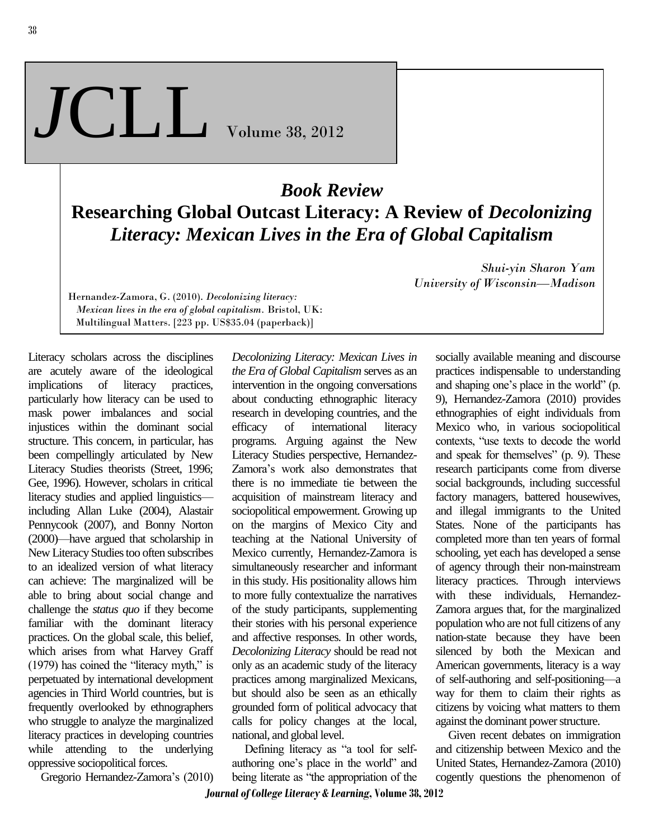38

## *J*CLL Volume 38, <sup>2012</sup>

## *Book Review* **Researching Global Outcast Literacy: A Review of** *Decolonizing Literacy: Mexican Lives in the Era of Global Capitalism*

Hernandez-Zamora, G. (2010). *Decolonizing literacy: Mexican lives in the era of global capitalism.* Bristol, UK: Multilingual Matters. [223 pp. US\$35.04 (paperback)]

Literacy scholars across the disciplines are acutely aware of the ideological implications of literacy practices, particularly how literacy can be used to mask power imbalances and social injustices within the dominant social structure. This concern, in particular, has been compellingly articulated by New Literacy Studies theorists (Street, 1996; Gee, 1996). However, scholars in critical literacy studies and applied linguistics including Allan Luke (2004), Alastair Pennycook (2007), and Bonny Norton (2000)—have argued that scholarship in New Literacy Studies too often subscribes to an idealized version of what literacy can achieve: The marginalized will be able to bring about social change and challenge the *status quo* if they become familiar with the dominant literacy practices. On the global scale, this belief, which arises from what Harvey Graff (1979) has coined the "literacy myth," is perpetuated by international development agencies in Third World countries, but is frequently overlooked by ethnographers who struggle to analyze the marginalized literacy practices in developing countries while attending to the underlying oppressive sociopolitical forces.

Gregorio Hernandez-Zamora's (2010)

*Decolonizing Literacy: Mexican Lives in the Era of Global Capitalism* serves as an intervention in the ongoing conversations about conducting ethnographic literacy research in developing countries, and the efficacy of international literacy programs. Arguing against the New Literacy Studies perspective, Hernandez-Zamora's work also demonstrates that there is no immediate tie between the acquisition of mainstream literacy and sociopolitical empowerment. Growing up on the margins of Mexico City and teaching at the National University of Mexico currently, Hernandez-Zamora is simultaneously researcher and informant in this study. His positionality allows him to more fully contextualize the narratives of the study participants, supplementing their stories with his personal experience and affective responses. In other words, *Decolonizing Literacy* should be read not only as an academic study of the literacy practices among marginalized Mexicans, but should also be seen as an ethically grounded form of political advocacy that calls for policy changes at the local, national, and global level.

 Defining literacy as "a tool for selfauthoring one's place in the world" and being literate as "the appropriation of the

*Shui-yin Sharon Yam University of Wisconsin—Madison*

> socially available meaning and discourse practices indispensable to understanding and shaping one's place in the world" (p. 9), Hernandez-Zamora (2010) provides ethnographies of eight individuals from Mexico who, in various sociopolitical contexts, "use texts to decode the world and speak for themselves" (p. 9). These research participants come from diverse social backgrounds, including successful factory managers, battered housewives, and illegal immigrants to the United States. None of the participants has completed more than ten years of formal schooling, yet each has developed a sense of agency through their non-mainstream literacy practices. Through interviews with these individuals, Hernandez-Zamora argues that, for the marginalized population who are not full citizens of any nation-state because they have been silenced by both the Mexican and American governments, literacy is a way of self-authoring and self-positioning—a way for them to claim their rights as citizens by voicing what matters to them against the dominant power structure.

 Given recent debates on immigration and citizenship between Mexico and the United States, Hernandez-Zamora (2010) cogently questions the phenomenon of